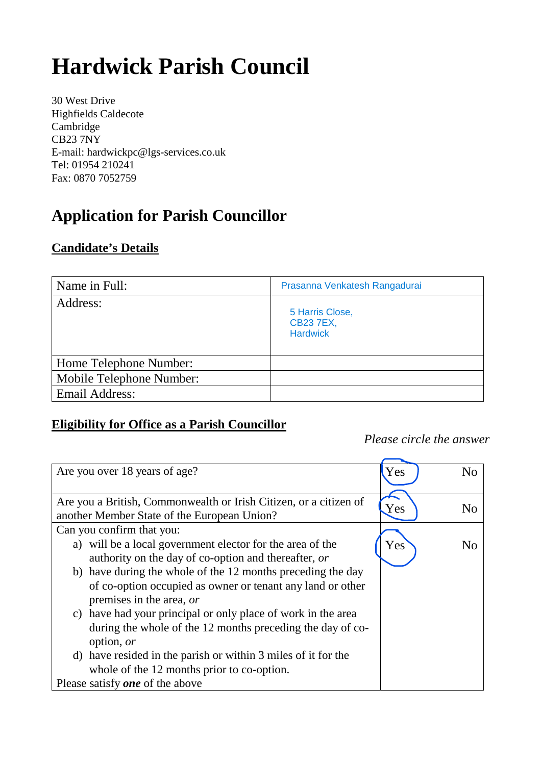# **Hardwick Parish Council**

30 West Drive Highfields Caldecote Cambridge CB23 7NY E-mail: hardwickpc@lgs-services.co.uk Tel: 01954 210241 Fax: 0870 7052759

## **Application for Parish Councillor**

#### **Candidate's Details**

| Name in Full:            | Prasanna Venkatesh Rangadurai                          |
|--------------------------|--------------------------------------------------------|
| Address:                 | 5 Harris Close,<br><b>CB23 7EX,</b><br><b>Hardwick</b> |
| Home Telephone Number:   |                                                        |
| Mobile Telephone Number: |                                                        |
| <b>Email Address:</b>    |                                                        |

### **Eligibility for Office as a Parish Councillor**

*Please circle the answer*

| Are you over 18 years of age?                                     | Yes | N <sub>0</sub> |
|-------------------------------------------------------------------|-----|----------------|
| Are you a British, Commonwealth or Irish Citizen, or a citizen of |     |                |
| another Member State of the European Union?                       | Yes | N <sub>0</sub> |
| Can you confirm that you:                                         |     |                |
| a) will be a local government elector for the area of the         | Yes | N <sub>0</sub> |
| authority on the day of co-option and thereafter, or              |     |                |
| b) have during the whole of the 12 months preceding the day       |     |                |
| of co-option occupied as owner or tenant any land or other        |     |                |
| premises in the area, or                                          |     |                |
| c) have had your principal or only place of work in the area      |     |                |
| during the whole of the 12 months preceding the day of co-        |     |                |
| option, or                                                        |     |                |
| d) have resided in the parish or within 3 miles of it for the     |     |                |
| whole of the 12 months prior to co-option.                        |     |                |
| Please satisfy <b>one</b> of the above                            |     |                |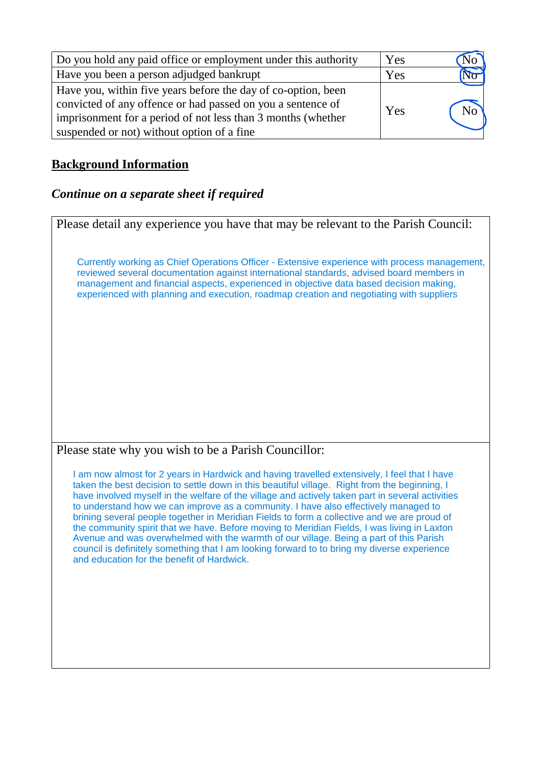| Do you hold any paid office or employment under this authority                                                                                                                                                                             | Yes |                |
|--------------------------------------------------------------------------------------------------------------------------------------------------------------------------------------------------------------------------------------------|-----|----------------|
| Have you been a person adjudged bankrupt                                                                                                                                                                                                   | Yes |                |
| Have you, within five years before the day of co-option, been<br>convicted of any offence or had passed on you a sentence of<br>imprisonment for a period of not less than 3 months (whether<br>suspended or not) without option of a fine | Yes | N <sub>o</sub> |

#### **Background Information**

#### *Continue on a separate sheet if required*

Please detail any experience you have that may be relevant to the Parish Council: Please state why you wish to be a Parish Councillor: Currently working as Chief Operations Officer - Extensive experience with process management, reviewed several documentation against international standards, advised board members in management and financial aspects, experienced in objective data based decision making, experienced with planning and execution, roadmap creation and negotiating with suppliers I am now almost for 2 years in Hardwick and having travelled extensively, I feel that I have taken the best decision to settle down in this beautiful village. Right from the beginning, I have involved myself in the welfare of the village and actively taken part in several activities to understand how we can improve as a community. I have also effectively managed to brining several people together in Meridian Fields to form a collective and we are proud of the community spirit that we have. Before moving to Meridian Fields, I was living in Laxton Avenue and was overwhelmed with the warmth of our village. Being a part of this Parish council is definitely something that I am looking forward to to bring my diverse experience and education for the benefit of Hardwick.